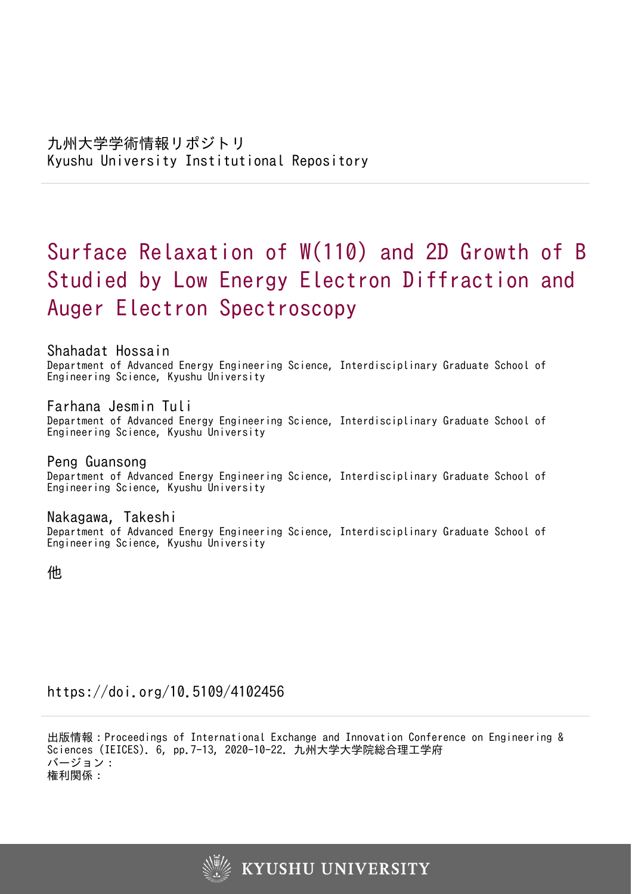# Surface Relaxation of W(110) and 2D Growth of B Studied by Low Energy Electron Diffraction and Auger Electron Spectroscopy

Shahadat Hossain Department of Advanced Energy Engineering Science, Interdisciplinary Graduate School of Engineering Science, Kyushu University

Farhana Jesmin Tuli Department of Advanced Energy Engineering Science, Interdisciplinary Graduate School of Engineering Science, Kyushu University

Peng Guansong Department of Advanced Energy Engineering Science, Interdisciplinary Graduate School of Engineering Science, Kyushu University

Nakagawa, Takeshi Department of Advanced Energy Engineering Science, Interdisciplinary Graduate School of Engineering Science, Kyushu University

他

https://doi.org/10.5109/4102456

出版情報:Proceedings of International Exchange and Innovation Conference on Engineering & Sciences (IEICES). 6, pp.7-13, 2020-10-22. 九州大学大学院総合理工学府 バージョン: 権利関係:

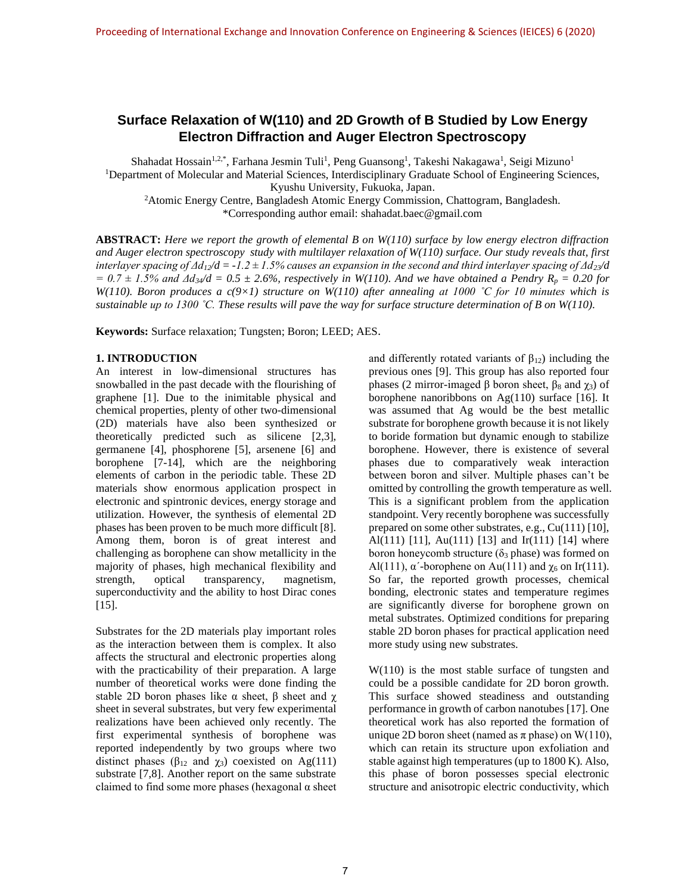# **Surface Relaxation of W(110) and 2D Growth of B Studied by Low Energy Electron Diffraction and Auger Electron Spectroscopy**

Shahadat Hossain<sup>1,2,\*</sup>, Farhana Jesmin Tuli<sup>1</sup>, Peng Guansong<sup>1</sup>, Takeshi Nakagawa<sup>1</sup>, Seigi Mizuno<sup>1</sup> <sup>1</sup>Department of Molecular and Material Sciences, Interdisciplinary Graduate School of Engineering Sciences, Kyushu University, Fukuoka, Japan.

<sup>2</sup>Atomic Energy Centre, Bangladesh Atomic Energy Commission, Chattogram, Bangladesh. \*Corresponding author email: shahadat.baec@gmail.com

**ABSTRACT:** *Here we report the growth of elemental B on W(110) surface by low energy electron diffraction and Auger electron spectroscopy study with multilayer relaxation of W(110) surface. Our study reveals that, first interlayer spacing of Δd12/d = -1.2 ± 1.5% causes an expansion in the second and third interlayer spacing of Δd23/d*   $= 0.7 \pm 1.5\%$  and  $\Delta d_3$  /*d*  $= 0.5 \pm 2.6\%$ , respectively in W(110). And we have obtained a Pendry R<sub>*p*</sub> = 0.20 for *W(110). Boron produces a c(9×1) structure on W(110) after annealing at 1000 ˚C for 10 minutes which is sustainable up to 1300 ˚C. These results will pave the way for surface structure determination of B on W(110).* 

**Keywords:** Surface relaxation; Tungsten; Boron; LEED; AES.

#### **1. INTRODUCTION**

An interest in low-dimensional structures has snowballed in the past decade with the flourishing of graphene [1]. Due to the inimitable physical and chemical properties, plenty of other two-dimensional (2D) materials have also been synthesized or theoretically predicted such as silicene [2,3], germanene [4], phosphorene [5], arsenene [6] and borophene [7-14], which are the neighboring elements of carbon in the periodic table. These 2D materials show enormous application prospect in electronic and spintronic devices, energy storage and utilization. However, the synthesis of elemental 2D phases has been proven to be much more difficult [8]. Among them, boron is of great interest and challenging as borophene can show metallicity in the majority of phases, high mechanical flexibility and strength, optical transparency, magnetism, superconductivity and the ability to host Dirac cones [15].

Substrates for the 2D materials play important roles as the interaction between them is complex. It also affects the structural and electronic properties along with the practicability of their preparation. A large number of theoretical works were done finding the stable 2D boron phases like  $\alpha$  sheet,  $\beta$  sheet and  $\gamma$ sheet in several substrates, but very few experimental realizations have been achieved only recently. The first experimental synthesis of borophene was reported independently by two groups where two distinct phases ( $\beta_{12}$  and  $\chi_3$ ) coexisted on Ag(111) substrate [7,8]. Another report on the same substrate claimed to find some more phases (hexagonal  $\alpha$  sheet and differently rotated variants of  $\beta_{12}$ ) including the previous ones [9]. This group has also reported four phases (2 mirror-imaged β boron sheet,  $β_8$  and  $χ_3$ ) of borophene nanoribbons on Ag(110) surface [16]. It was assumed that Ag would be the best metallic substrate for borophene growth because it is not likely to boride formation but dynamic enough to stabilize borophene. However, there is existence of several phases due to comparatively weak interaction between boron and silver. Multiple phases can't be omitted by controlling the growth temperature as well. This is a significant problem from the application standpoint. Very recently borophene was successfully prepared on some other substrates, e.g., Cu(111) [10], Al(111) [11], Au(111) [13] and Ir(111) [14] where boron honeycomb structure ( $\delta_3$  phase) was formed on Al(111),  $\alpha'$ -borophene on Au(111) and  $\gamma_6$  on Ir(111). So far, the reported growth processes, chemical bonding, electronic states and temperature regimes are significantly diverse for borophene grown on metal substrates. Optimized conditions for preparing stable 2D boron phases for practical application need more study using new substrates.

W(110) is the most stable surface of tungsten and could be a possible candidate for 2D boron growth. This surface showed steadiness and outstanding performance in growth of carbon nanotubes [17]. One theoretical work has also reported the formation of unique 2D boron sheet (named as  $\pi$  phase) on W(110), which can retain its structure upon exfoliation and stable against high temperatures (up to 1800 K). Also, this phase of boron possesses special electronic structure and anisotropic electric conductivity, which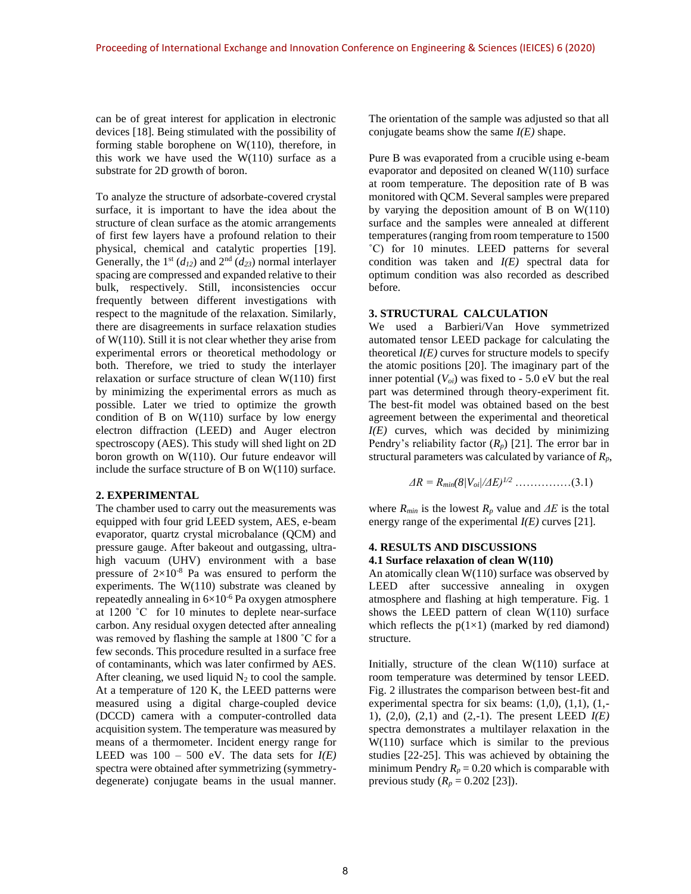can be of great interest for application in electronic devices [18]. Being stimulated with the possibility of forming stable borophene on W(110), therefore, in this work we have used the  $W(110)$  surface as a substrate for 2D growth of boron.

To analyze the structure of adsorbate-covered crystal surface, it is important to have the idea about the structure of clean surface as the atomic arrangements of first few layers have a profound relation to their physical, chemical and catalytic properties [19]. Generally, the 1<sup>st</sup> ( $d_{12}$ ) and 2<sup>nd</sup> ( $d_{23}$ ) normal interlayer spacing are compressed and expanded relative to their bulk, respectively. Still, inconsistencies occur frequently between different investigations with respect to the magnitude of the relaxation. Similarly, there are disagreements in surface relaxation studies of W(110). Still it is not clear whether they arise from experimental errors or theoretical methodology or both. Therefore, we tried to study the interlayer relaxation or surface structure of clean W(110) first by minimizing the experimental errors as much as possible. Later we tried to optimize the growth condition of B on  $W(110)$  surface by low energy electron diffraction (LEED) and Auger electron spectroscopy (AES). This study will shed light on 2D boron growth on W(110). Our future endeavor will include the surface structure of B on W(110) surface.

#### **2. EXPERIMENTAL**

The chamber used to carry out the measurements was equipped with four grid LEED system, AES, e-beam evaporator, quartz crystal microbalance (QCM) and pressure gauge. After bakeout and outgassing, ultrahigh vacuum (UHV) environment with a base pressure of  $2\times10^{-8}$  Pa was ensured to perform the experiments. The  $W(110)$  substrate was cleaned by repeatedly annealing in  $6\times10^{-6}$  Pa oxygen atmosphere at 1200 ˚C for 10 minutes to deplete near-surface carbon. Any residual oxygen detected after annealing was removed by flashing the sample at 1800 ˚C for a few seconds. This procedure resulted in a surface free of contaminants, which was later confirmed by AES. After cleaning, we used liquid  $N_2$  to cool the sample. At a temperature of 120 K, the LEED patterns were measured using a digital charge-coupled device (DCCD) camera with a computer-controlled data acquisition system. The temperature was measured by means of a thermometer. Incident energy range for LEED was  $100 - 500$  eV. The data sets for  $I(E)$ spectra were obtained after symmetrizing (symmetrydegenerate) conjugate beams in the usual manner.

The orientation of the sample was adjusted so that all conjugate beams show the same *I(E)* shape.

Pure B was evaporated from a crucible using e-beam evaporator and deposited on cleaned W(110) surface at room temperature. The deposition rate of B was monitored with QCM. Several samples were prepared by varying the deposition amount of B on  $W(110)$ surface and the samples were annealed at different temperatures (ranging from room temperature to 1500 ˚C) for 10 minutes. LEED patterns for several condition was taken and *I(E)* spectral data for optimum condition was also recorded as described before.

### **3. STRUCTURAL CALCULATION**

We used a Barbieri/Van Hove symmetrized automated tensor LEED package for calculating the theoretical  $I(E)$  curves for structure models to specify the atomic positions [20]. The imaginary part of the inner potential (*Voi*) was fixed to - 5.0 eV but the real part was determined through theory-experiment fit. The best-fit model was obtained based on the best agreement between the experimental and theoretical *I(E)* curves, which was decided by minimizing Pendry's reliability factor (*Rp*) [21]. The error bar in structural parameters was calculated by variance of *Rp*,

$$
\Delta R = R_{min}(8/V_{oi}/\Delta E)^{1/2} \dots \dots \dots \dots \dots (3.1)
$$

where  $R_{min}$  is the lowest  $R_p$  value and  $\Delta E$  is the total energy range of the experimental *I(E)* curves [21].

#### **4. RESULTS AND DISCUSSIONS 4.1 Surface relaxation of clean W(110)**

An atomically clean W(110) surface was observed by LEED after successive annealing in oxygen atmosphere and flashing at high temperature. Fig. 1 shows the LEED pattern of clean W(110) surface which reflects the  $p(1\times1)$  (marked by red diamond) structure.

Initially, structure of the clean W(110) surface at room temperature was determined by tensor LEED. Fig. 2 illustrates the comparison between best-fit and experimental spectra for six beams:  $(1,0)$ ,  $(1,1)$ ,  $(1,-$ 1), (2,0), (2,1) and (2,-1). The present LEED *I(E)* spectra demonstrates a multilayer relaxation in the W(110) surface which is similar to the previous studies [22-25]. This was achieved by obtaining the minimum Pendry  $R_p = 0.20$  which is comparable with previous study  $(R_p = 0.202$  [23]).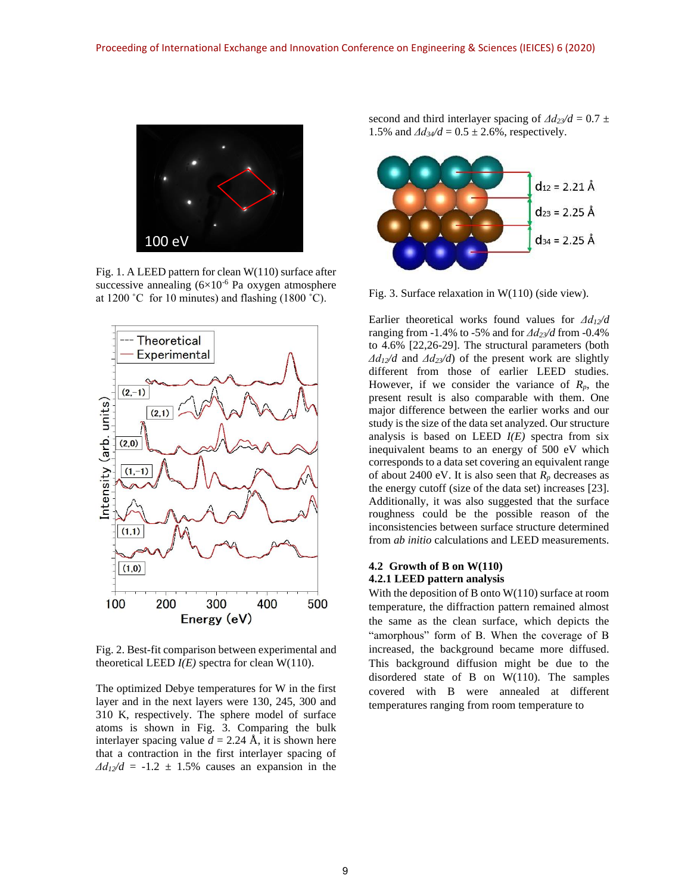

Fig. 1. A LEED pattern for clean W(110) surface after successive annealing  $(6\times10^{-6}$  Pa oxygen atmosphere at  $1200 °C$  for 10 minutes) and flashing  $(1800 °C)$ .



Fig. 2. Best-fit comparison between experimental and theoretical LEED  $I(E)$  spectra for clean W(110).

The optimized Debye temperatures for W in the first layer and in the next layers were 130, 245, 300 and 310 K, respectively. The sphere model of surface atoms is shown in Fig. 3. Comparing the bulk interlayer spacing value  $d = 2.24 \text{ Å}$ , it is shown here that a contraction in the first interlayer spacing of  $\Delta d_1/2d = -1.2 \pm 1.5\%$  causes an expansion in the

second and third interlayer spacing of  $\Delta d_{23}/d = 0.7 \pm$ 1.5% and  $\Delta d_3/2 = 0.5 \pm 2.6$ %, respectively.



Fig. 3. Surface relaxation in W(110) (side view).

Earlier theoretical works found values for *Δd12/d*  ranging from -1.4% to -5% and for *Δd23/d* from -0.4% to 4.6% [22,26-29]. The structural parameters (both *Δd12/d* and *Δd23/d*) of the present work are slightly different from those of earlier LEED studies. However, if we consider the variance of  $R_p$ , the present result is also comparable with them. One major difference between the earlier works and our study is the size of the data set analyzed. Our structure analysis is based on LEED *I(E)* spectra from six inequivalent beams to an energy of 500 eV which corresponds to a data set covering an equivalent range of about 2400 eV. It is also seen that  $R_p$  decreases as the energy cutoff (size of the data set) increases [23]. Additionally, it was also suggested that the surface roughness could be the possible reason of the inconsistencies between surface structure determined from *ab initio* calculations and LEED measurements.

## **4.2 Growth of B on W(110) 4.2.1 LEED pattern analysis**

With the deposition of B onto W(110) surface at room temperature, the diffraction pattern remained almost the same as the clean surface, which depicts the "amorphous" form of B. When the coverage of B increased, the background became more diffused. This background diffusion might be due to the disordered state of B on W(110). The samples covered with B were annealed at different temperatures ranging from room temperature to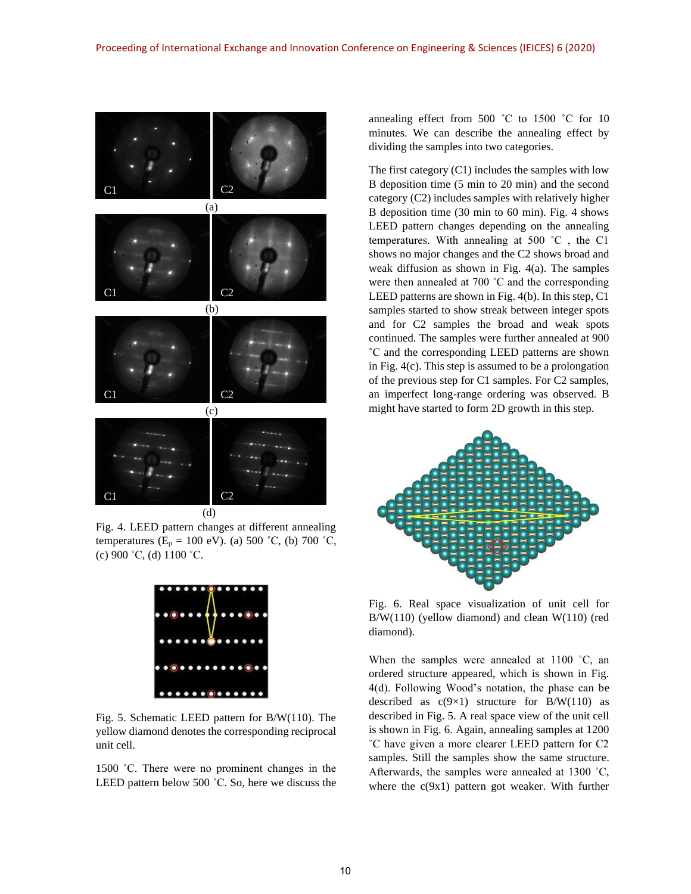

Fig. 4. LEED pattern changes at different annealing temperatures ( $E_p = 100 \text{ eV}$ ). (a) 500 °C, (b) 700 °C,  $(c)$  900 °C, (d) 1100 °C.



Fig. 5. Schematic LEED pattern for B/W(110). The yellow diamond denotes the corresponding reciprocal unit cell.

1500 ˚C. There were no prominent changes in the LEED pattern below 500 ˚C. So, here we discuss the annealing effect from 500 ˚C to 1500 ˚C for 10 minutes. We can describe the annealing effect by dividing the samples into two categories.

The first category (C1) includes the samples with low B deposition time (5 min to 20 min) and the second category (C2) includes samples with relatively higher B deposition time (30 min to 60 min). Fig. 4 shows LEED pattern changes depending on the annealing temperatures. With annealing at 500 ˚C , the C1 shows no major changes and the C2 shows broad and weak diffusion as shown in Fig. 4(a). The samples were then annealed at 700 ˚C and the corresponding LEED patterns are shown in Fig. 4(b). In this step, C1 samples started to show streak between integer spots and for C2 samples the broad and weak spots continued. The samples were further annealed at 900 ˚C and the corresponding LEED patterns are shown in Fig. 4(c). This step is assumed to be a prolongation of the previous step for C1 samples. For C2 samples, an imperfect long-range ordering was observed. B might have started to form 2D growth in this step.



Fig. 6. Real space visualization of unit cell for B/W(110) (yellow diamond) and clean W(110) (red diamond).

When the samples were annealed at 1100 °C, an ordered structure appeared, which is shown in Fig. 4(d). Following Wood's notation, the phase can be described as  $c(9\times1)$  structure for B/W(110) as described in Fig. 5. A real space view of the unit cell is shown in Fig. 6. Again, annealing samples at 1200 ˚C have given a more clearer LEED pattern for C2 samples. Still the samples show the same structure. Afterwards, the samples were annealed at 1300 ˚C, where the  $c(9x1)$  pattern got weaker. With further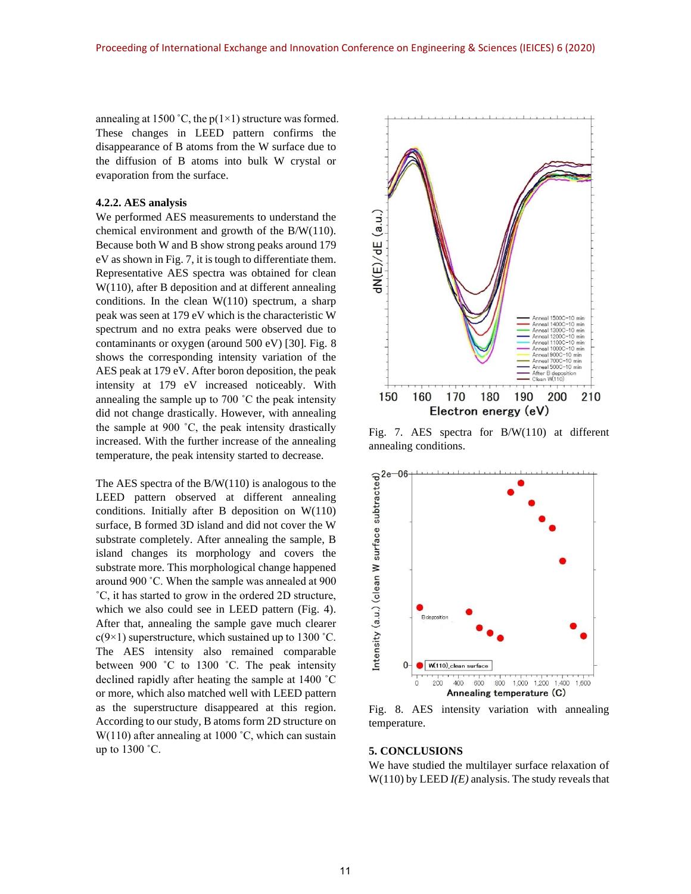annealing at 1500 °C, the  $p(1\times1)$  structure was formed. These changes in LEED pattern confirms the disappearance of B atoms from the W surface due to the diffusion of B atoms into bulk W crystal or evaporation from the surface.

#### **4.2.2. AES analysis**

We performed AES measurements to understand the chemical environment and growth of the B/W(110). Because both W and B show strong peaks around 179 eV as shown in Fig. 7, it is tough to differentiate them. Representative AES spectra was obtained for clean W(110), after B deposition and at different annealing conditions. In the clean  $W(110)$  spectrum, a sharp peak was seen at 179 eV which is the characteristic W spectrum and no extra peaks were observed due to contaminants or oxygen (around 500 eV) [30]. Fig. 8 shows the corresponding intensity variation of the AES peak at 179 eV. After boron deposition, the peak intensity at 179 eV increased noticeably. With annealing the sample up to 700 ˚C the peak intensity did not change drastically. However, with annealing the sample at 900 ˚C, the peak intensity drastically increased. With the further increase of the annealing temperature, the peak intensity started to decrease.

The AES spectra of the  $B/W(110)$  is analogous to the LEED pattern observed at different annealing conditions. Initially after B deposition on W(110) surface, B formed 3D island and did not cover the W substrate completely. After annealing the sample, B island changes its morphology and covers the substrate more. This morphological change happened around 900 ˚C. When the sample was annealed at 900 ˚C, it has started to grow in the ordered 2D structure, which we also could see in LEED pattern (Fig. 4). After that, annealing the sample gave much clearer  $c(9\times1)$  superstructure, which sustained up to 1300 °C. The AES intensity also remained comparable between 900 ˚C to 1300 ˚C. The peak intensity declined rapidly after heating the sample at 1400 ˚C or more, which also matched well with LEED pattern as the superstructure disappeared at this region. According to our study, B atoms form 2D structure on  $W(110)$  after annealing at 1000 °C, which can sustain up to 1300 ˚C.



Fig. 7. AES spectra for B/W(110) at different annealing conditions.



Fig. 8. AES intensity variation with annealing temperature.

#### **5. CONCLUSIONS**

We have studied the multilayer surface relaxation of W(110) by LEED *I(E)* analysis. The study reveals that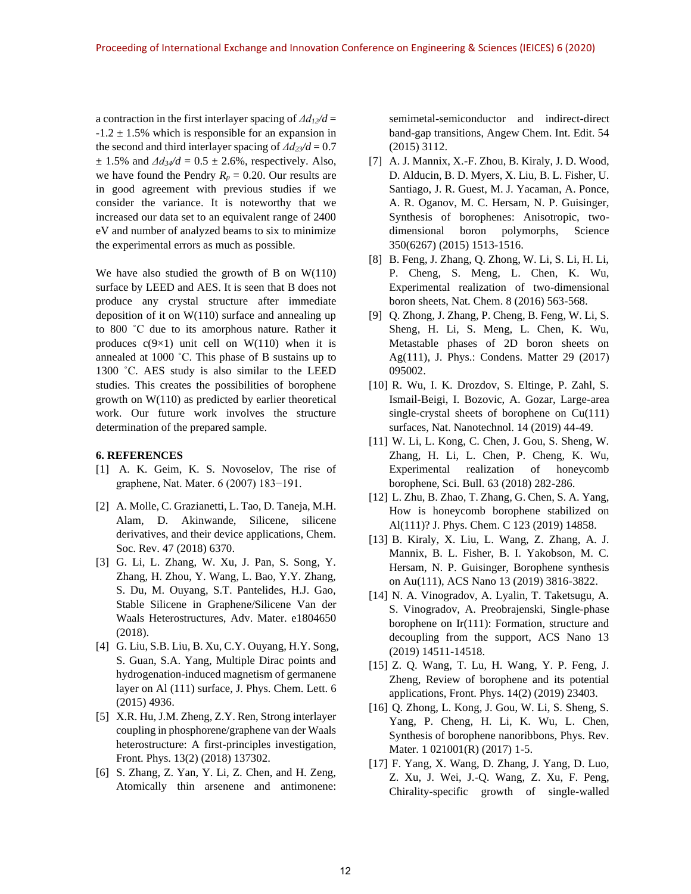a contraction in the first interlayer spacing of  $\Delta d_1/2d$  =  $-1.2 \pm 1.5$ % which is responsible for an expansion in the second and third interlayer spacing of  $\Delta d_{23}/d = 0.7$  $\pm$  1.5% and  $\Delta d_3 \neq d$  = 0.5  $\pm$  2.6%, respectively. Also, we have found the Pendry  $R_p = 0.20$ . Our results are in good agreement with previous studies if we consider the variance. It is noteworthy that we increased our data set to an equivalent range of 2400 eV and number of analyzed beams to six to minimize the experimental errors as much as possible.

We have also studied the growth of B on W(110) surface by LEED and AES. It is seen that B does not produce any crystal structure after immediate deposition of it on W(110) surface and annealing up to 800 ˚C due to its amorphous nature. Rather it produces  $c(9\times1)$  unit cell on W(110) when it is annealed at 1000 ˚C. This phase of B sustains up to 1300 ˚C. AES study is also similar to the LEED studies. This creates the possibilities of borophene growth on W(110) as predicted by earlier theoretical work. Our future work involves the structure determination of the prepared sample.

#### **6. REFERENCES**

- [1] A. K. Geim, K. S. Novoselov, The rise of graphene, Nat. Mater. 6 (2007) 183−191.
- [2] A. Molle, C. Grazianetti, L. Tao, D. Taneja, M.H. Alam, D. Akinwande, Silicene, silicene derivatives, and their device applications, Chem. Soc. Rev. 47 (2018) 6370.
- [3] G. Li, L. Zhang, W. Xu, J. Pan, S. Song, Y. Zhang, H. Zhou, Y. Wang, L. Bao, Y.Y. Zhang, S. Du, M. Ouyang, S.T. Pantelides, H.J. Gao, Stable Silicene in Graphene/Silicene Van der Waals Heterostructures, Adv. Mater. e1804650 (2018).
- [4] G. Liu, S.B. Liu, B. Xu, C.Y. Ouyang, H.Y. Song, S. Guan, S.A. Yang, Multiple Dirac points and hydrogenation-induced magnetism of germanene layer on Al (111) surface, J. Phys. Chem. Lett. 6 (2015) 4936.
- [5] X.R. Hu, J.M. Zheng, Z.Y. Ren, Strong interlayer coupling in phosphorene/graphene van der Waals heterostructure: A first-principles investigation, Front. Phys. 13(2) (2018) 137302.
- [6] S. Zhang, Z. Yan, Y. Li, Z. Chen, and H. Zeng, Atomically thin arsenene and antimonene:

semimetal-semiconductor and indirect-direct band-gap transitions, Angew Chem. Int. Edit. 54 (2015) 3112.

- [7] A. J. Mannix, X.-F. Zhou, B. Kiraly, J. D. Wood, D. Alducin, B. D. Myers, X. Liu, B. L. Fisher, U. Santiago, J. R. Guest, M. J. Yacaman, A. Ponce, A. R. Oganov, M. C. Hersam, N. P. Guisinger, Synthesis of borophenes: Anisotropic, twodimensional boron polymorphs, Science 350(6267) (2015) 1513-1516.
- [8] B. Feng, J. Zhang, Q. Zhong, W. Li, S. Li, H. Li, P. Cheng, S. Meng, L. Chen, K. Wu, Experimental realization of two-dimensional boron sheets, Nat. Chem. 8 (2016) 563-568.
- [9] Q. Zhong, J. Zhang, P. Cheng, B. Feng, W. Li, S. Sheng, H. Li, S. Meng, L. Chen, K. Wu, Metastable phases of 2D boron sheets on Ag(111), J. Phys.: Condens. Matter 29 (2017) 095002.
- [10] R. Wu, I. K. Drozdov, S. Eltinge, P. Zahl, S. Ismail-Beigi, I. Bozovic, A. Gozar, Large-area single-crystal sheets of borophene on Cu(111) surfaces, Nat. Nanotechnol. 14 (2019) 44-49.
- [11] W. Li, L. Kong, C. Chen, J. Gou, S. Sheng, W. Zhang, H. Li, L. Chen, P. Cheng, K. Wu, Experimental realization of honeycomb borophene, Sci. Bull. 63 (2018) 282-286.
- [12] L. Zhu, B. Zhao, T. Zhang, G. Chen, S. A. Yang, How is honeycomb borophene stabilized on Al(111)? J. Phys. Chem. C 123 (2019) 14858.
- [13] B. Kiraly, X. Liu, L. Wang, Z. Zhang, A. J. Mannix, B. L. Fisher, B. I. Yakobson, M. C. Hersam, N. P. Guisinger, Borophene synthesis on Au(111), ACS Nano 13 (2019) 3816-3822.
- [14] N. A. Vinogradov, A. Lyalin, T. Taketsugu, A. S. Vinogradov, A. Preobrajenski, Single-phase borophene on Ir(111): Formation, structure and decoupling from the support, ACS Nano 13 (2019) 14511-14518.
- [15] Z. Q. Wang, T. Lu, H. Wang, Y. P. Feng, J. Zheng, Review of borophene and its potential applications, Front. Phys. 14(2) (2019) 23403.
- [16] Q. Zhong, L. Kong, J. Gou, W. Li, S. Sheng, S. Yang, P. Cheng, H. Li, K. Wu, L. Chen, Synthesis of borophene nanoribbons, Phys. Rev. Mater. 1 021001(R) (2017) 1-5.
- [17] F. Yang, X. Wang, D. Zhang, J. Yang, D. Luo, Z. Xu, J. Wei, J.-Q. Wang, Z. Xu, F. Peng, Chirality-specific growth of single-walled